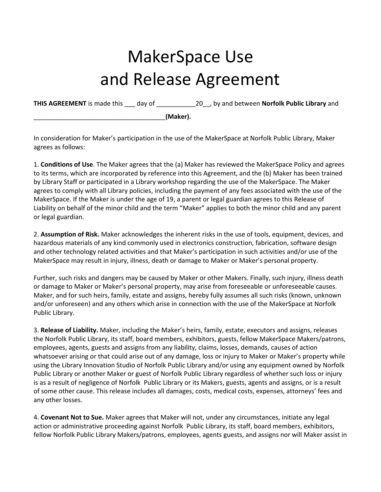## MakerSpace Use and Release Agreement

**THIS AGREEMENT** is made this \_\_\_ day of \_\_\_\_\_\_\_\_\_\_\_20\_\_, by and between **Norfolk Public Library** and

\_\_\_\_\_\_\_\_\_\_\_\_\_\_\_\_\_\_\_\_\_\_\_\_\_\_\_\_\_\_\_\_\_\_\_\_\_**(Maker).**

In consideration for Maker's participation in the use of the MakerSpace at Norfolk Public Library, Maker agrees as follows:

1. **Conditions of Use**. The Maker agrees that the (a) Maker has reviewed the MakerSpace Policy and agrees to its terms, which are incorporated by reference into this Agreement, and the (b) Maker has been trained by Library Staff or participated in a Library workshop regarding the use of the MakerSpace. The Maker agrees to comply with all Library policies, including the payment of any fees associated with the use of the MakerSpace. If the Maker is under the age of 19, a parent or legal guardian agrees to this Release of Liability on behalf of the minor child and the term "Maker" applies to both the minor child and any parent or legal guardian.

2. **Assumption of Risk.** Maker acknowledges the inherent risks in the use of tools, equipment, devices, and hazardous materials of any kind commonly used in electronics construction, fabrication, software design and other technology related activities and that Maker's participation in such activities and/or use of the MakerSpace may result in injury, illness, death or damage to Maker or Maker's personal property.

Further, such risks and dangers may be caused by Maker or other Makers. Finally, such injury, illness death or damage to Maker or Maker's personal property, may arise from foreseeable or unforeseeable causes. Maker, and for such heirs, family, estate and assigns, hereby fully assumes all such risks (known, unknown and/or unforeseen) and any others which arise in connection with the use of the MakerSpace at Norfolk Public Library.

3. **Release of Liability.** Maker, including the Maker's heirs, family, estate, executors and assigns, releases the Norfolk Public Library, its staff, board members, exhibitors, guests, fellow MakerSpace Makers/patrons, employees, agents, guests and assigns from any liability, claims, losses, demands, causes of action whatsoever arising or that could arise out of any damage, loss or injury to Maker or Maker's property while using the Library Innovation Studio of Norfolk Public Library and/or using any equipment owned by Norfolk Public Library or another Maker or guest of Norfolk Public Library regardless of whether such loss or injury is as a result of negligence of Norfolk Public Library or its Makers, guests, agents and assigns, or is a result of some other cause. This release includes all damages, costs, medical costs, expenses, attorneys' fees and any other losses.

4. **Covenant Not to Sue.** Maker agrees that Maker will not, under any circumstances, initiate any legal action or administrative proceeding against Norfolk Public Library, its staff, board members, exhibitors, fellow Norfolk Public Library Makers/patrons, employees, agents guests, and assigns nor will Maker assist in